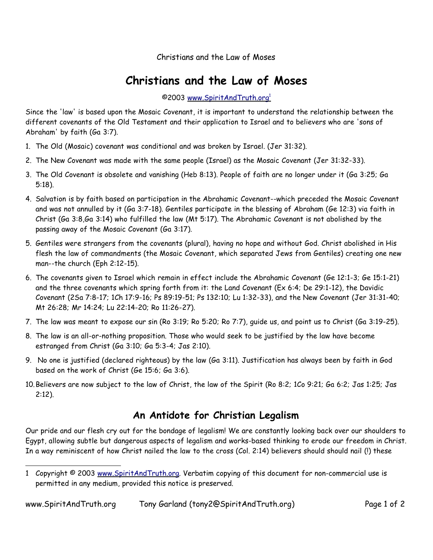Christians and the Law of Moses

## **Christians and the Law of Moses**

©2003 www.SpiritAndTruth.org<sup>1</sup>

Since the 'law' is based upon the Mosaic Covenant, it is important to understand the relationship between the different covenants of the Old Testament and their application to Israel and to believers who are 'sons of Abraham' by faith (Ga 3:7).

- 1. The Old (Mosaic) covenant was conditional and was broken by Israel. (Jer 31:32).
- 2. The New Covenant was made with the same people (Israel) as the Mosaic Covenant (Jer 31:32-33).
- 3. The Old Covenant is obsolete and vanishing (Heb 8:13). People of faith are no longer under it (Ga 3:25; Ga 5:18).
- 4. Salvation is by faith based on participation in the Abrahamic Covenant--which preceded the Mosaic Covenant and was not annulled by it (Ga 3:7-18). Gentiles participate in the blessing of Abraham (Ge 12:3) via faith in Christ (Ga 3:8,Ga 3:14) who fulfilled the law (Mt 5:17). The Abrahamic Covenant is not abolished by the passing away of the Mosaic Covenant (Ga 3:17).
- 5. Gentiles were strangers from the covenants (plural), having no hope and without God. Christ abolished in His flesh the law of commandments (the Mosaic Covenant, which separated Jews from Gentiles) creating one new man--the church (Eph 2:12-15).
- 6. The covenants given to Israel which remain in effect include the Abrahamic Covenant (Ge 12:1-3; Ge 15:1-21) and the three covenants which spring forth from it: the Land Covenant (Ex 6:4; De 29:1-12), the Davidic Covenant (2Sa 7:8-17; 1Ch 17:9-16; Ps 89:19-51; Ps 132:10; Lu 1:32-33), and the New Covenant (Jer 31:31-40; Mt 26:28; Mr 14:24; Lu 22:14-20; Ro 11:26-27).
- 7. The law was meant to expose our sin (Ro 3:19; Ro 5:20; Ro 7:7), guide us, and point us to Christ (Ga 3:19-25).
- 8. The law is an all-or-nothing proposition. Those who would seek to be justified by the law have become estranged from Christ (Ga 3:10; Ga 5:3-4; Jas 2:10).
- 9. No one is justified (declared righteous) by the law (Ga 3:11). Justification has always been by faith in God based on the work of Christ (Ge 15:6; Ga 3:6).
- 10.Believers are now subject to the law of Christ, the law of the Spirit (Ro 8:2; 1Co 9:21; Ga 6:2; Jas 1:25; Jas 2:12).

## **An Antidote for Christian Legalism**

Our pride and our flesh cry out for the bondage of legalism! We are constantly looking back over our shoulders to Egypt, allowing subtle but dangerous aspects of legalism and works-based thinking to erode our freedom in Christ. In a way reminiscent of how Christ nailed the law to the cross (Col. 2:14) believers should should nail (!) these

<sup>1</sup> Copyright © 2003 www.SpiritAndTruth.org. Verbatim copying of this document for non-commercial use is permitted in any medium, provided this notice is preserved.